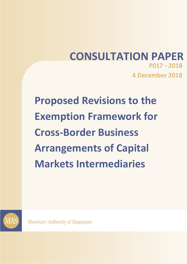# **CONSULTATION PAPER P017 - 2018 4 December 2018**

**Proposed Revisions to the Exemption Framework for Cross-Border Business Arrangements of Capital Markets Intermediaries**



**Monetary Authority of Singapore**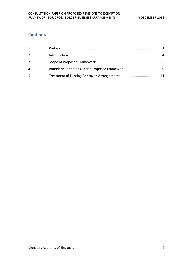# **Contents**

| $\mathbf{1}$   |  |
|----------------|--|
| 2              |  |
| $\overline{3}$ |  |
| 4              |  |
| -5             |  |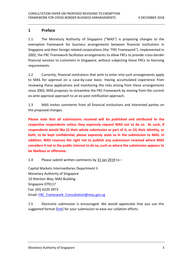#### <span id="page-2-0"></span>**1 Preface**

1.1 The Monetary Authority of Singapore ("MAS") is proposing changes to the exemption framework for business arrangements between financial institutions in Singapore and their foreign related corporations (the "FRC Framework"). Implemented in 2002, the FRC Framework facilitates arrangements to allow FRCs to provide cross-border financial services to customers in Singapore, without subjecting these FRCs to licensing requirements.

1.2 Currently, financial institutions that wish to enter into such arrangements apply to MAS for approval on a case-by-case basis. Having accumulated experience from reviewing these applications and monitoring the risks arising from these arrangements since 2002, MAS proposes to streamline the FRC Framework by moving from the current ex-ante approval approach to an ex-post notification approach.

1.3 MAS invites comments from all financial institutions and interested parties on the proposed changes.

**Please note that all submissions received will be published and attributed to the respective respondents unless they expressly request MAS not to do so. As such, if respondents would like (i) their whole submission or part of it, or (ii) their identity, or both, to be kept confidential, please expressly state so in the submission to MAS. In addition, MAS reserves the right not to publish any submission received where MAS considers it not in the public interest to do so, such as where the submission appears to be libellous or offensive.**

1.4 Please submit written comments by 31 Jan 2019 to –

Capital Markets Intermediaries Department II Monetary Authority of Singapore 10 Shenton Way, MAS Building Singapore 079117 Fax: (65) 6220 3973 Email: [FRC\\_Framework\\_Consultation@mas.gov.sg](mailto:FRC_Framework_Consultation@mas.gov.sg)

1.5 Electronic submission is encouraged. We would appreciate that you use this suggested format [\[link\]](http://www.mas.gov.sg/~/media/MAS/News%20and%20Publications/Consultation%20Papers/Template%20for%20Response%20to%20Consultation%20Paper%20on%20FRC%20Framework.docx) for your submission to ease our collation efforts.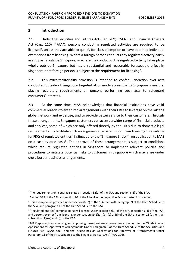#### <span id="page-3-0"></span>**2 Introduction**

2.1 Under the Securities and Futures Act (Cap. 289) ("SFA") and Financial Advisers Act (Cap. 110) ("FAA"), persons conducting regulated activities are required to be licensed<sup>1</sup>, unless they are able to qualify for class exemption or have obtained individual exemptions from licensing. Where a foreign person conducts any regulated activity partly in and partly outside Singapore, or where the conduct of the regulated activity takes place wholly outside Singapore but has a substantial and reasonably foreseeable effect in Singapore, that foreign person is subject to the requirement for licensing<sup>2</sup>.

2.2 This extra-territoriality provision is intended to confer jurisdiction over acts conducted outside of Singapore targeted at or made accessible to Singapore investors, placing regulatory requirements on persons performing such acts to safeguard consumers' interests.

2.3 At the same time, MAS acknowledges that financial institutions have valid commercial reasons to enter into arrangements with their FRCs to leverage on the latter's global network and expertise, and to provide better service to their customers. Through these arrangements, Singapore customers can access a wider range of financial products and services, some of which are only offered directly by the FRCs due to domestic legal requirements. To facilitate such arrangements, an exemption from licensing<sup>3</sup> is available for FRCs of regulated entities<sup>4</sup> in Singapore (the "Singapore Entity"), on application to MAS on a case-by-case basis<sup>5</sup>. The approval of these arrangements is subject to conditions which require regulated entities in Singapore to implement relevant policies and procedures to mitigate potential risks to customers in Singapore which may arise under cross-border business arrangements.

<sup>&</sup>lt;sup>1</sup> The requirement for licensing is stated in section 82(1) of the SFA, and section 6(1) of the FAA.

 $2$  Section 339 of the SFA and section 90 of the FAA give the respective Acts extra-territorial effect.

<sup>&</sup>lt;sup>3</sup> This exemption is provided under section 82(2) of the SFA read with paragraph 9 of the Third Schedule to the SFA, and paragraph 11 of the First Schedule to the FAA.

<sup>4</sup> 'Regulated entities' comprise persons licensed under section 82(1) of the SFA or section 6(1) of the FAA, and persons exempt from licensing under section 99(1)(a), (b), (c) or (d) of the SFA or section 23 (other than subsection (1)(ea) and (f)) of the FAA.

<sup>&</sup>lt;sup>5</sup> MAS' approach for assessing and approving these business arrangements is set out in the "Guidelines on Applications for Approval of Arrangements Under Paragraph 9 of the Third Schedule to the Securities and Futures Act" (SFA04-G03) and the "Guidelines on Applications for Approval of Arrangements Under Paragraph 11 of the First Schedule to the Financial Advisers Act" (FAA-G06).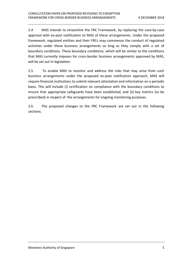2.4 MAS intends to streamline the FRC Framework, by replacing the case-by-case approval with ex-post notification to MAS of these arrangements. Under the proposed framework, regulated entities and their FRCs may commence the conduct of regulated activities under these business arrangements so long as they comply with a set of boundary conditions. These boundary conditions, which will be similar to the conditions that MAS currently imposes for cross-border business arrangements approved by MAS, will be set out in legislation.

2.5 To enable MAS to monitor and address the risks that may arise from such business arrangements under the proposed ex-post notification approach, MAS will require financial institutions to submit relevant attestation and information on a periodic basis. This will include (i) certification on compliance with the boundary conditions to ensure that appropriate safeguards have been established, and (ii) key metrics (to be prescribed) in respect of the arrangements for ongoing monitoring purposes.

2.6 The proposed changes to the FRC Framework are set out in the following sections.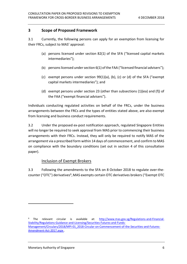#### <span id="page-5-0"></span>**3 Scope of Proposed Framework**

3.1 Currently, the following persons can apply for an exemption from licensing for their FRCs, subject to MAS' approval:

- (a) persons licensed under section 82(1) of the SFA ("licensed capital markets intermediaries");
- (b) persons licensed under section 6(1) of the FAA ("licensed financial advisers");
- (c) exempt persons under section 99(1)(a), (b), (c) or (d) of the SFA ("exempt capital markets intermediaries"); and
- (d) exempt persons under section 23 (other than subsections (1)(ea) and (f)) of the FAA ("exempt financial advisers").

Individuals conducting regulated activities on behalf of the FRCs, under the business arrangements between the FRCs and the types of entities stated above, are also exempt from licensing and business conduct requirements.

3.2 Under the proposed ex-post notification approach, regulated Singapore Entities will no longer be required to seek approval from MAS prior to commencing their business arrangements with their FRCs. Instead, they will only be required to notify MAS of the arrangement via a prescribed form within 14 days of commencement, and confirm to MAS on compliance with the boundary conditions (set out in section 4 of this consultation paper).

## Inclusion of Exempt Brokers

3.3 Following the amendments to the SFA on 8 October 2018 to regulate over-thecounter ("OTC") derivatives<sup>6</sup>, MAS exempts certain OTC derivatives brokers ("Exempt OTC

1

<sup>6</sup> The relevant circular is available at: http://www.mas.gov.sg/Regulations-and-Financial-Stability/Regulations-Guidance-and-Licensing/Securities-Futures-and-Funds-Management/Circulars/2018/MPI-01\_2018-Circular-on-Commencement-of-the-Securities-and-Futures-Amendment-Act-2017.aspx .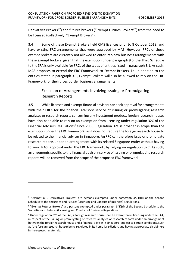Derivatives Brokers"<sup>7</sup>) and futures brokers ("Exempt Futures Brokers"<sup>8</sup>) from the need to be licensed (collectively, "Exempt Brokers").

3.4 Some of these Exempt Brokers held CMS licences prior to 8 October 2018, and have existing FRC arrangements that were approved by MAS. However, FRCs of these exempt brokers are currently not allowed to enter into new business arrangements with these exempt brokers, given that the exemption under paragraph 9 of the Third Schedule to the SFA is only available for FRCs of the types of entities listed in paragraph 3.1. As such, MAS proposes to extend the FRC Framework to Exempt Brokers, i.e. in addition to the entities stated in paragraph 3.1, Exempt Brokers will also be allowed to rely on the FRC Framework for their cross border business arrangements.

## Exclusion of Arrangements Involving Issuing or Promulgating Research Reports

3.5 While licensed and exempt financial advisers can seek approval for arrangements with their FRCs for the financial advisory service of issuing or promulgating research analyses or research reports concerning any investment product, foreign research houses have also been able to rely on an exemption from licensing under regulation 32C of the Financial Advisers Regulations<sup>9</sup> since 2008. Regulation 32C is broader in scope than the exemption under the FRC framework, as it does not require the foreign research house to be related to the financial adviser in Singapore. An FRC can therefore issue or promulgate research reports under an arrangement with its related Singapore entity without having to seek MAS' approval under the FRC framework, by relying on regulation 32C. As such, arrangements specific to the financial advisory service of issuing or promulgating research reports will be removed from the scope of the proposed FRC framework.

<sup>&</sup>lt;sup>7</sup> "Exempt OTC Derivatives Brokers" are persons exempted under paragraph 3A(1)(d) of the Second Schedule to the Securities and Futures (Licensing and Conduct of Business) Regulations.

<sup>&</sup>lt;sup>8</sup> "Exempt Futures Brokers" are persons exempted under paragraph 3(1)(d) of the Second Schedule to the Securities and Futures (Licensing and Conduct of Business) Regulations.

<sup>&</sup>lt;sup>9</sup> Under regulation 32C of the FAR, a foreign research house shall be exempt from licensing under the FAA, in respect of the issuing or promulgating of research analyses or research reports under an arrangement between the foreign research house and a financial adviser in Singapore, subject to certain conditions, such as (the foreign research house) being regulated in its home jurisdiction, and having appropriate disclaimers in the research materials.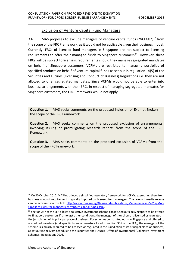#### Exclusion of Venture Capital Fund Managers

3.6 MAS proposes to exclude managers of venture capital funds ("VCFMs")<sup>10</sup> from the scope of the FRC Framework, as it would not be applicable given their business model. Currently, FRCs of licensed fund managers in Singapore are not subject to licensing requirements to offer their managed funds to Singapore customers<sup>11</sup>. However, these FRCs will be subject to licensing requirements should they manage segregated mandates on behalf of Singapore customers. VCFMs are restricted to managing portfolios of specified products on behalf of venture capital funds as set out in regulation 14(5) of the Securities and Futures (Licensing and Conduct of Business) Regulations i.e. they are not allowed to offer segregated mandates. Since VCFMs would not be able to enter into business arrangements with their FRCs in respect of managing segregated mandates for Singapore customers, the FRC Framework would not apply.

<span id="page-7-0"></span>**Question 1.** MAS seeks comments on the proposed inclusion of Exempt Brokers in the scope of the FRC Framework.

<span id="page-7-1"></span>**Question 2.** MAS seeks comments on the proposed exclusion of arrangements involving issuing or promulgating research reports from the scope of the FRC Framework.

<span id="page-7-2"></span>**Question 3.** MAS seeks comments on the proposed exclusion of VCFMs from the scope of the FRC Framework.

<sup>&</sup>lt;sup>10</sup> On 20 October 2017, MAS introduced a simplified regulatory framework for VCFMs, exempting them from business conduct requirements typically imposed on licensed fund managers. The relevant media release can be accessed via this link: [http://www.mas.gov.sg/News-and-Publications/Media-Releases/2017/MAS](http://www.mas.gov.sg/News-and-Publications/Media-Releases/2017/MAS-simplifies-rules-for-managers-of-venture-capital-funds.aspx)[simplifies-rules-for-managers-of-venture-capital-funds.aspx.](http://www.mas.gov.sg/News-and-Publications/Media-Releases/2017/MAS-simplifies-rules-for-managers-of-venture-capital-funds.aspx)

<sup>&</sup>lt;sup>11</sup> Section 287 of the SFA allows a collective investment scheme constituted outside Singapore to be offered to Singapore customers if, amongst other conditions, the manager of the scheme is licensed or regulated in the jurisdiction of its principal place of business. For schemes constituted outside Singapore and offered to accredited investors (and specific types of investors listed in section 305 of the SFA), the manager of the scheme is similarly required to be licensed or regulated in the jurisdiction of its principal place of business, as set out in the Sixth Schedule to the Securities and Futures (Offers of Investments) (Collective Investment Schemes) Regulations 2005.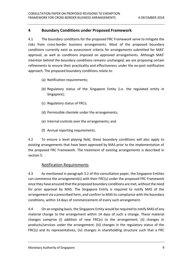#### <span id="page-8-0"></span>**4 Boundary Conditions under Proposed Framework**

4.1 The boundary conditions for the proposed FRC Framework serve to mitigate the risks from cross-border business arrangements. Most of the proposed boundary conditions currently exist as assessment criteria for arrangements submitted for MAS' approval, as well as conditions imposed on approved arrangements. Although MAS' intention behind the boundary conditions remains unchanged, we are proposing certain refinements to ensure their practicality and effectiveness under the ex-post notification approach. The proposed boundary conditions relate to:

- (a) Notification requirements;
- (b) Regulatory status of the Singapore Entity (i.e. the regulated entity in Singapore);
- (c) Regulatory status of FRCs;
- (d) Permissible clientele under the arrangements;
- (e) Internal controls over the arrangements; and
- (f) Annual reporting requirements.

4.2 To ensure a level playing field, these boundary conditions will also apply to existing arrangements that have been approved by MAS prior to the implementation of the proposed FRC Framework. The treatment of existing arrangements is described in section 5.

#### Notification Requirements

4.3 As mentioned in paragraph 3.2 of this consultation paper, the Singapore Entities can commence the arrangement(s) with their FRC(s) under the proposed FRC Framework once they have ensured that the proposed boundary conditions are met, without the need for prior approval by MAS. The Singapore Entity is required to notify MAS of the arrangement via a prescribed form, and confirm to MAS its compliance with the boundary conditions, within 14 days of commencement of every such arrangement.

4.4 On an ongoing basis, the Singapore Entity would be required to notify MAS of any material change to the arrangement within 14 days of such a change. These material changes comprise (i) addition of new FRC(s) to the arrangement; (ii) changes in products/services under the arrangement; (iii) changes in the regulatory status of the FRC(s) and its representatives, (iv) changes in shareholding structure such that a FRC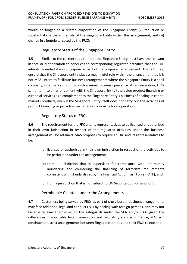would no longer be a related corporation of the Singapore Entity; (v) reduction or substantial change in the role of the Singapore Entity within the arrangement; and (vi) change in clientele targeted by the FRC(s).

#### Regulatory Status of the Singapore Entity

4.5 Similar to the current requirement, the Singapore Entity must have the relevant licence or authorisation to conduct the corresponding regulated activities that the FRC intends to undertake in Singapore as part of the proposed arrangement. This is to help ensure that the Singapore entity plays a meaningful role within the arrangement, as it is not MAS' intent to facilitate business arrangements where the Singapore Entity is a shell company, or a marketing outfit with minimal business presence. As an exception, FRCs can enter into an arrangement with the Singapore Entity to provide product financing or custodial services as a complement to the Singapore Entity's business of dealing in capital markets products, even if the Singapore Entity itself does not carry out the activities of product financing or providing custodial services in its local operations.

#### Regulatory Status of FRCs

4.6 The requirement for the FRC and its representatives to be licensed or authorised in their own jurisdiction in respect of the regulated activities under the business arrangement will be retained. MAS proposes to require an FRC and its representatives to be:

- (a) licensed or authorised in their own jurisdiction in respect of the activities to be performed under the arrangement;
- (b) from a jurisdiction that is supervised for compliance with anti-money laundering and countering the financing of terrorism requirements consistent with standards set by the Financial Action Task Force (FATF); and
- (c) from a jurisdiction that is not subject to UN Security Council sanctions.

#### Permissible Clientele under the Arrangements

4.7 Customers being served by FRCs as part of cross-border business arrangements may face additional legal and conduct risks by dealing with foreign persons, and may not be able to avail themselves to the safeguards under the SFA and/or FAA, given the differences in applicable legal frameworks and regulatory standards. Hence, MAS will continue to restrict arrangements between Singapore entities and their FRCs to non-retail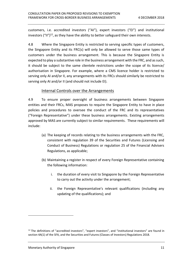customers, i.e. accredited investors ("AI"), expert investors ("EI") and institutional investors ("II")<sup>12</sup>, as they have the ability to better safeguard their own interests.

4.8 Where the Singapore Entity is restricted to serving specific types of customers, the Singapore Entity and its FRC(s) will only be allowed to serve those same types of customers under the business arrangement. This is because the Singapore Entity is expected to play a substantive role in the business arrangement with the FRC, and as such, it should be subject to the same clientele restrictions under the scope of its licence/ authorisation in Singapore. For example, where a CMS licence holder is restricted to serving only AI and/or II, any arrangements with its FRCs should similarly be restricted to serving only AI and/or II (and should not include EI).

#### Internal Controls over the Arrangements

4.9 To ensure proper oversight of business arrangements between Singapore entities and their FRCs, MAS proposes to require the Singapore Entity to have in place policies and procedures to oversee the conduct of the FRC and its representatives ("Foreign Representative") under these business arrangements. Existing arrangements approved by MAS are currently subject to similar requirements. These requirements will include:

- (a) The keeping of records relating to the business arrangements with the FRC, consistent with regulation 39 of the Securities and Futures (Licensing and Conduct of Business) Regulations or regulation 25 of the Financial Advisers Regulations, as applicable;
- (b) Maintaining a register in respect of every Foreign Representative containing the following information:
	- i. the duration of every visit to Singapore by the Foreign Representative to carry out the activity under the arrangement;
	- ii. the Foreign Representative's relevant qualifications (including any updating of the qualifications); and

 $12$  The definitions of "accredited investors", "expert investors", and "institutional investors" are found in section 4A(1) of the SFA, and the Securities and Futures (Classes of Investors) Regulations 2018.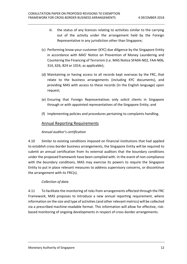- iii. the status of any licences relating to activities similar to the carrying out of the activity under the arrangement held by the Foreign Representative in any jurisdiction other than Singapore;
- (c) Performing know-your-customer (KYC) due diligence by the Singapore Entity in accordance with MAS' Notice on Prevention of Money Laundering and Countering the Financing of Terrorism (i.e. MAS Notice SFA04-N02, FAA-N06, 314, 626, 824 or 1014, as applicable);
- (d) Maintaining or having access to all records kept overseas by the FRC, that relate to the business arrangements (including KYC documents), and providing MAS with access to these records (in the English language) upon request;
- (e) Ensuring that Foreign Representatives only solicit clients in Singapore through or with appointed representatives of the Singapore Entity; and
- (f) Implementing policies and procedures pertaining to complaints handling.

#### Annual Reporting Requirements

#### *Annual auditor's certification*

4.10 Similar to existing conditions imposed on financial institutions that had applied to establish cross-border business arrangements, the Singapore Entity will be required to submit an annual certification from its external auditors that the boundary conditions under the proposed framework have been complied with. In the event of non-compliance with the boundary conditions, MAS may exercise its powers to require the Singapore Entity to put in place relevant measures to address supervisory concerns, or discontinue the arrangement with its FRC(s).

#### *Collection of data*

4.11 To facilitate the monitoring of risks from arrangements effected through the FRC Framework, MAS proposes to introduce a new annual reporting requirement, where information on the size and type of activities (and other relevant metrics) will be collected via a prescribed machine-readable format. This information will allow for effective, riskbased monitoring of ongoing developments in respect of cross-border arrangements.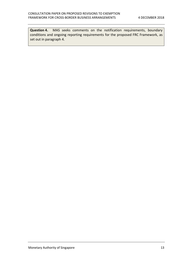<span id="page-12-0"></span>**Question 4.** MAS seeks comments on the notification requirements, boundary conditions and ongoing reporting requirements for the proposed FRC Framework, as set out in paragraph 4.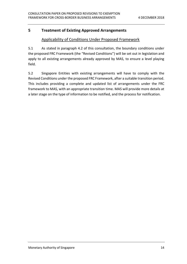## <span id="page-13-0"></span>**5 Treatment of Existing Approved Arrangements**

#### Applicability of Conditions Under Proposed Framework

5.1 As stated in paragraph 4.2 of this consultation, the boundary conditions under the proposed FRC Framework (the "Revised Conditions") will be set out in legislation and apply to all existing arrangements already approved by MAS, to ensure a level playing field.

5.2 Singapore Entities with existing arrangements will have to comply with the Revised Conditions under the proposed FRC Framework, after a suitable transition period. This includes providing a complete and updated list of arrangements under the FRC framework to MAS, with an appropriate transition time. MAS will provide more details at a later stage on the type of information to be notified, and the process for notification.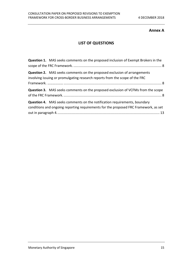#### **Annex A**

## **LIST OF QUESTIONS**

| <b>Question 1.</b> MAS seeks comments on the proposed inclusion of Exempt Brokers in the                                                                                 |  |
|--------------------------------------------------------------------------------------------------------------------------------------------------------------------------|--|
| <b>Question 2.</b> MAS seeks comments on the proposed exclusion of arrangements<br>involving issuing or promulgating research reports from the scope of the FRC          |  |
| <b>Question 3.</b> MAS seeks comments on the proposed exclusion of VCFMs from the scope                                                                                  |  |
| <b>Question 4.</b> MAS seeks comments on the notification requirements, boundary<br>conditions and ongoing reporting requirements for the proposed FRC Framework, as set |  |